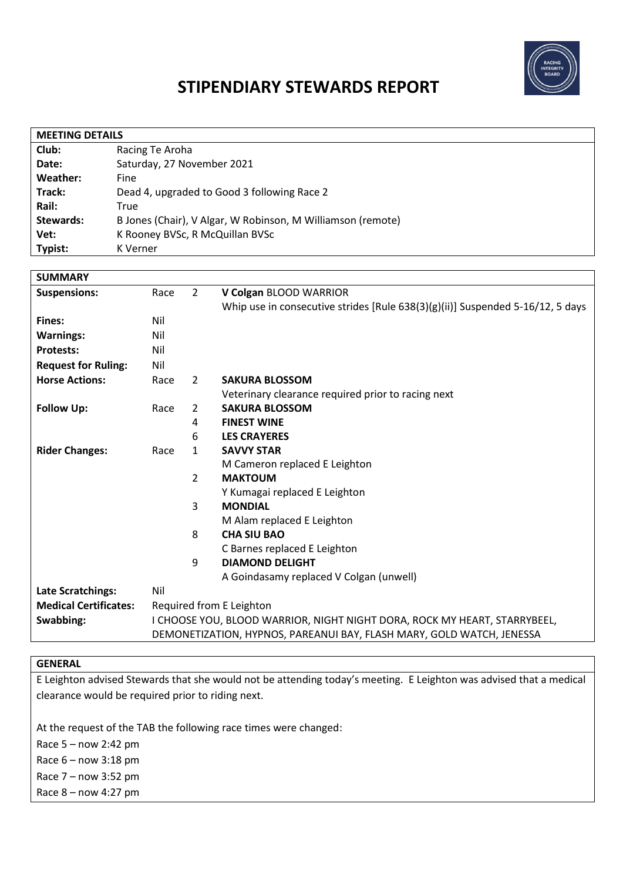

# **STIPENDIARY STEWARDS REPORT**

| <b>MEETING DETAILS</b> |                                                             |  |  |  |
|------------------------|-------------------------------------------------------------|--|--|--|
| Club:                  | Racing Te Aroha                                             |  |  |  |
| Date:                  | Saturday, 27 November 2021                                  |  |  |  |
| Weather:               | Fine                                                        |  |  |  |
| Track:                 | Dead 4, upgraded to Good 3 following Race 2                 |  |  |  |
| Rail:                  | True                                                        |  |  |  |
| <b>Stewards:</b>       | B Jones (Chair), V Algar, W Robinson, M Williamson (remote) |  |  |  |
| Vet:                   | K Rooney BVSc, R McQuillan BVSc                             |  |  |  |
| Typist:                | K Verner                                                    |  |  |  |

| <b>SUMMARY</b>               |                                                                           |                |                                                                                   |
|------------------------------|---------------------------------------------------------------------------|----------------|-----------------------------------------------------------------------------------|
| <b>Suspensions:</b>          | Race                                                                      | $\overline{2}$ | V Colgan BLOOD WARRIOR                                                            |
|                              |                                                                           |                | Whip use in consecutive strides [Rule $638(3)(g)(ii)$ ] Suspended 5-16/12, 5 days |
| Fines:                       | Nil                                                                       |                |                                                                                   |
| <b>Warnings:</b>             | Nil                                                                       |                |                                                                                   |
| <b>Protests:</b>             | Nil                                                                       |                |                                                                                   |
| <b>Request for Ruling:</b>   | Nil                                                                       |                |                                                                                   |
| <b>Horse Actions:</b>        | Race                                                                      | $\overline{2}$ | <b>SAKURA BLOSSOM</b>                                                             |
|                              |                                                                           |                | Veterinary clearance required prior to racing next                                |
| <b>Follow Up:</b>            | Race                                                                      | 2              | <b>SAKURA BLOSSOM</b>                                                             |
|                              |                                                                           | 4              | <b>FINEST WINE</b>                                                                |
|                              |                                                                           | 6              | <b>LES CRAYERES</b>                                                               |
| <b>Rider Changes:</b>        | Race                                                                      | $\mathbf{1}$   | <b>SAVVY STAR</b>                                                                 |
|                              |                                                                           |                | M Cameron replaced E Leighton                                                     |
|                              |                                                                           | $\overline{2}$ | <b>MAKTOUM</b>                                                                    |
|                              |                                                                           |                | Y Kumagai replaced E Leighton                                                     |
|                              |                                                                           | 3              | <b>MONDIAL</b>                                                                    |
|                              |                                                                           |                | M Alam replaced E Leighton                                                        |
|                              |                                                                           | 8              | <b>CHA SIU BAO</b>                                                                |
|                              |                                                                           |                | C Barnes replaced E Leighton                                                      |
|                              |                                                                           | 9              | <b>DIAMOND DELIGHT</b>                                                            |
|                              |                                                                           |                | A Goindasamy replaced V Colgan (unwell)                                           |
| <b>Late Scratchings:</b>     | Nil                                                                       |                |                                                                                   |
| <b>Medical Certificates:</b> | Required from E Leighton                                                  |                |                                                                                   |
| Swabbing:                    | I CHOOSE YOU, BLOOD WARRIOR, NIGHT NIGHT DORA, ROCK MY HEART, STARRYBEEL, |                |                                                                                   |
|                              | DEMONETIZATION, HYPNOS, PAREANUI BAY, FLASH MARY, GOLD WATCH, JENESSA     |                |                                                                                   |

# **GENERAL**

E Leighton advised Stewards that she would not be attending today's meeting. E Leighton was advised that a medical clearance would be required prior to riding next.

At the request of the TAB the following race times were changed:

Race 5 – now 2:42 pm

Race 6 – now 3:18 pm

Race 7 – now 3:52 pm

Race 8 – now 4:27 pm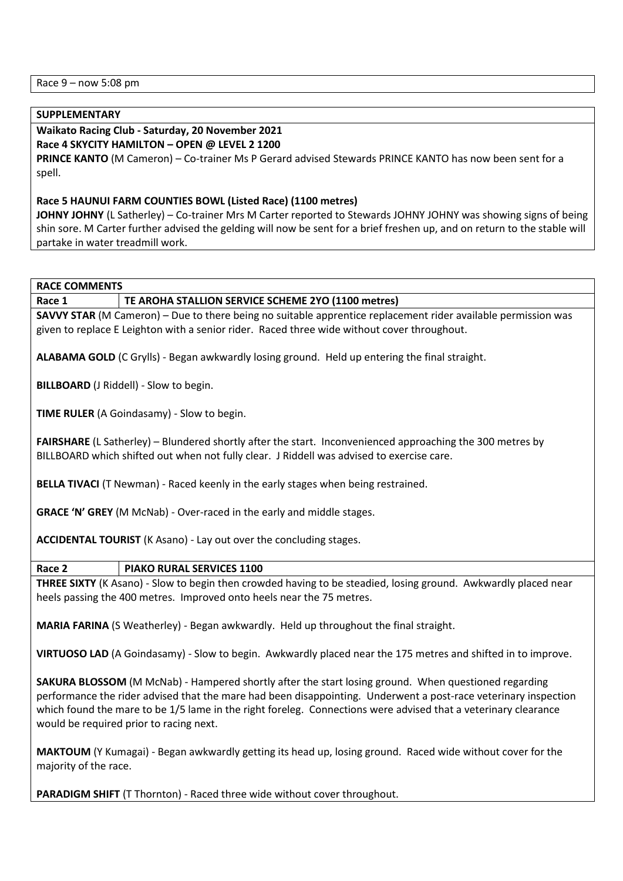Race 9 – now 5:08 pm

#### **SUPPLEMENTARY**

# **Waikato Racing Club - Saturday, 20 November 2021**

**Race 4 SKYCITY HAMILTON – OPEN @ LEVEL 2 1200**

**PRINCE KANTO** (M Cameron) – Co-trainer Ms P Gerard advised Stewards PRINCE KANTO has now been sent for a spell.

## **Race 5 HAUNUI FARM COUNTIES BOWL (Listed Race) (1100 metres)**

**JOHNY JOHNY** (L Satherley) – Co-trainer Mrs M Carter reported to Stewards JOHNY JOHNY was showing signs of being shin sore. M Carter further advised the gelding will now be sent for a brief freshen up, and on return to the stable will partake in water treadmill work.

**RACE COMMENTS**

#### **Race 1 TE AROHA STALLION SERVICE SCHEME 2YO (1100 metres)**

**SAVVY STAR** (M Cameron) – Due to there being no suitable apprentice replacement rider available permission was given to replace E Leighton with a senior rider. Raced three wide without cover throughout.

**ALABAMA GOLD** (C Grylls) - Began awkwardly losing ground. Held up entering the final straight.

**BILLBOARD** (J Riddell) - Slow to begin.

**TIME RULER** (A Goindasamy) - Slow to begin.

**FAIRSHARE** (L Satherley) – Blundered shortly after the start. Inconvenienced approaching the 300 metres by BILLBOARD which shifted out when not fully clear. J Riddell was advised to exercise care.

**BELLA TIVACI** (T Newman) - Raced keenly in the early stages when being restrained.

**GRACE 'N' GREY** (M McNab) - Over-raced in the early and middle stages.

**ACCIDENTAL TOURIST** (K Asano) - Lay out over the concluding stages.

#### **Race 2 PIAKO RURAL SERVICES 1100**

**THREE SIXTY** (K Asano) - Slow to begin then crowded having to be steadied, losing ground. Awkwardly placed near heels passing the 400 metres. Improved onto heels near the 75 metres.

**MARIA FARINA** (S Weatherley) - Began awkwardly. Held up throughout the final straight.

**VIRTUOSO LAD** (A Goindasamy) - Slow to begin. Awkwardly placed near the 175 metres and shifted in to improve.

**SAKURA BLOSSOM** (M McNab) - Hampered shortly after the start losing ground. When questioned regarding performance the rider advised that the mare had been disappointing. Underwent a post-race veterinary inspection which found the mare to be 1/5 lame in the right foreleg. Connections were advised that a veterinary clearance would be required prior to racing next.

**MAKTOUM** (Y Kumagai) - Began awkwardly getting its head up, losing ground. Raced wide without cover for the majority of the race.

**PARADIGM SHIFT** (T Thornton) - Raced three wide without cover throughout.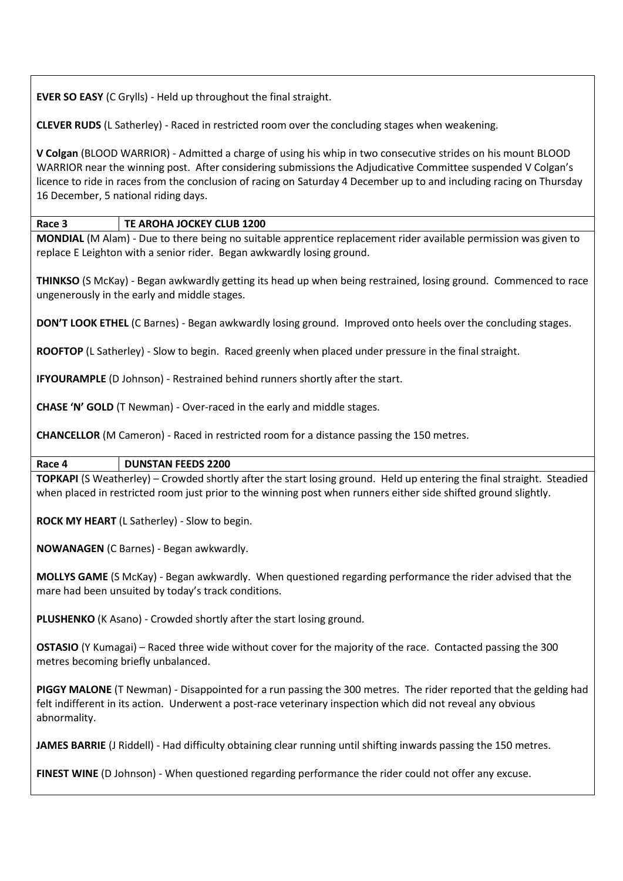**EVER SO EASY** (C Grylls) - Held up throughout the final straight.

**CLEVER RUDS** (L Satherley) - Raced in restricted room over the concluding stages when weakening.

**V Colgan** (BLOOD WARRIOR) - Admitted a charge of using his whip in two consecutive strides on his mount BLOOD WARRIOR near the winning post. After considering submissions the Adjudicative Committee suspended V Colgan's licence to ride in races from the conclusion of racing on Saturday 4 December up to and including racing on Thursday 16 December, 5 national riding days.

## **Race 3 TE AROHA JOCKEY CLUB 1200**

**MONDIAL** (M Alam) - Due to there being no suitable apprentice replacement rider available permission was given to replace E Leighton with a senior rider. Began awkwardly losing ground.

**THINKSO** (S McKay) - Began awkwardly getting its head up when being restrained, losing ground. Commenced to race ungenerously in the early and middle stages.

**DON'T LOOK ETHEL** (C Barnes) - Began awkwardly losing ground. Improved onto heels over the concluding stages.

**ROOFTOP** (L Satherley) - Slow to begin. Raced greenly when placed under pressure in the final straight.

**IFYOURAMPLE** (D Johnson) - Restrained behind runners shortly after the start.

**CHASE 'N' GOLD** (T Newman) - Over-raced in the early and middle stages.

**CHANCELLOR** (M Cameron) - Raced in restricted room for a distance passing the 150 metres.

**Race 4 DUNSTAN FEEDS 2200**

**TOPKAPI** (S Weatherley) – Crowded shortly after the start losing ground. Held up entering the final straight. Steadied when placed in restricted room just prior to the winning post when runners either side shifted ground slightly.

**ROCK MY HEART** (L Satherley) - Slow to begin.

**NOWANAGEN** (C Barnes) - Began awkwardly.

**MOLLYS GAME** (S McKay) - Began awkwardly. When questioned regarding performance the rider advised that the mare had been unsuited by today's track conditions.

**PLUSHENKO** (K Asano) - Crowded shortly after the start losing ground.

**OSTASIO** (Y Kumagai) – Raced three wide without cover for the majority of the race. Contacted passing the 300 metres becoming briefly unbalanced.

**PIGGY MALONE** (T Newman) - Disappointed for a run passing the 300 metres. The rider reported that the gelding had felt indifferent in its action. Underwent a post-race veterinary inspection which did not reveal any obvious abnormality.

**JAMES BARRIE** (J Riddell) - Had difficulty obtaining clear running until shifting inwards passing the 150 metres.

**FINEST WINE** (D Johnson) - When questioned regarding performance the rider could not offer any excuse.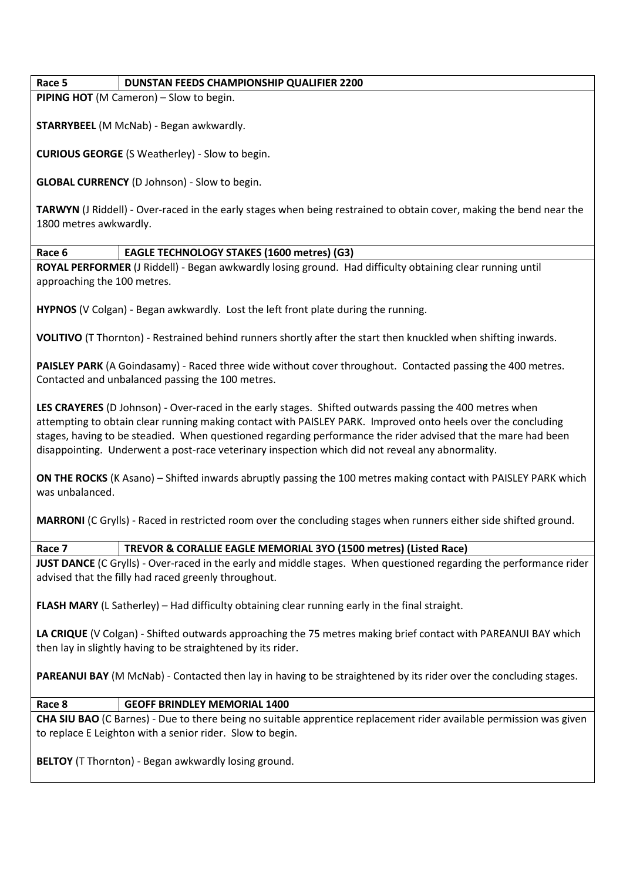## **Race 5 DUNSTAN FEEDS CHAMPIONSHIP QUALIFIER 2200**

**PIPING HOT** (M Cameron) – Slow to begin.

**STARRYBEEL** (M McNab) - Began awkwardly.

**CURIOUS GEORGE** (S Weatherley) - Slow to begin.

**GLOBAL CURRENCY** (D Johnson) - Slow to begin.

**TARWYN** (J Riddell) - Over-raced in the early stages when being restrained to obtain cover, making the bend near the 1800 metres awkwardly.

## **Race 6 EAGLE TECHNOLOGY STAKES (1600 metres) (G3)**

**ROYAL PERFORMER** (J Riddell) - Began awkwardly losing ground. Had difficulty obtaining clear running until approaching the 100 metres.

**HYPNOS** (V Colgan) - Began awkwardly. Lost the left front plate during the running.

**VOLITIVO** (T Thornton) - Restrained behind runners shortly after the start then knuckled when shifting inwards.

**PAISLEY PARK** (A Goindasamy) - Raced three wide without cover throughout. Contacted passing the 400 metres. Contacted and unbalanced passing the 100 metres.

**LES CRAYERES** (D Johnson) - Over-raced in the early stages. Shifted outwards passing the 400 metres when attempting to obtain clear running making contact with PAISLEY PARK. Improved onto heels over the concluding stages, having to be steadied. When questioned regarding performance the rider advised that the mare had been disappointing. Underwent a post-race veterinary inspection which did not reveal any abnormality.

**ON THE ROCKS** (K Asano) – Shifted inwards abruptly passing the 100 metres making contact with PAISLEY PARK which was unbalanced.

**MARRONI** (C Grylls) - Raced in restricted room over the concluding stages when runners either side shifted ground.

# **Race 7 TREVOR & CORALLIE EAGLE MEMORIAL 3YO (1500 metres) (Listed Race)**

**JUST DANCE** (C Grylls) - Over-raced in the early and middle stages. When questioned regarding the performance rider advised that the filly had raced greenly throughout.

**FLASH MARY** (L Satherley) – Had difficulty obtaining clear running early in the final straight.

**LA CRIQUE** (V Colgan) - Shifted outwards approaching the 75 metres making brief contact with PAREANUI BAY which then lay in slightly having to be straightened by its rider.

**PAREANUI BAY** (M McNab) - Contacted then lay in having to be straightened by its rider over the concluding stages.

# **Race 8 GEOFF BRINDLEY MEMORIAL 1400**

**CHA SIU BAO** (C Barnes) - Due to there being no suitable apprentice replacement rider available permission was given to replace E Leighton with a senior rider. Slow to begin.

**BELTOY** (T Thornton) - Began awkwardly losing ground.